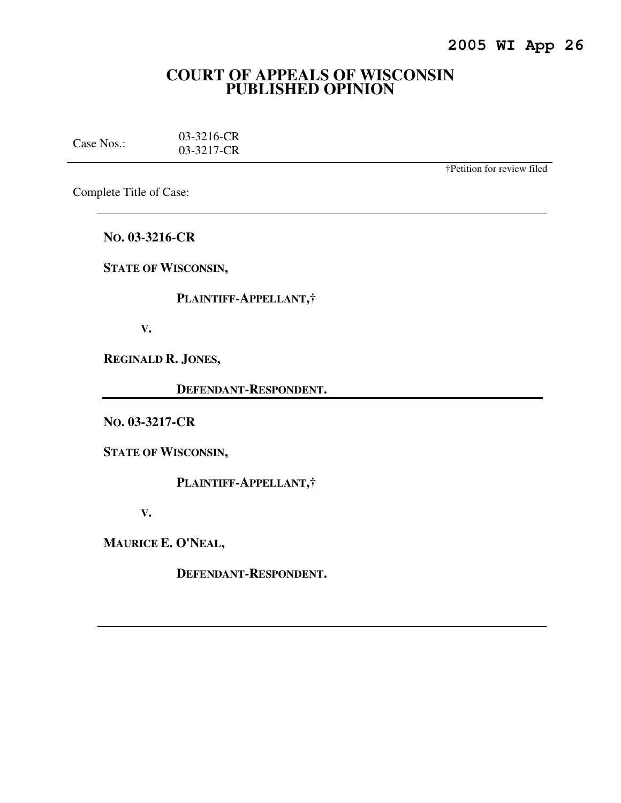# **COURT OF APPEALS OF WISCONSIN PUBLISHED OPINION**

| Case Nos.: | 03-3216-CR |
|------------|------------|
|            | 03-3217-CR |

†Petition for review filed

Complete Title of Case:

**NO. 03-3216-CR** 

**STATE OF WISCONSIN,** 

 **PLAINTIFF-APPELLANT,†** 

 **V.** 

**REGINALD R. JONES,** 

 **DEFENDANT-RESPONDENT.** 

**NO. 03-3217-CR** 

**STATE OF WISCONSIN,** 

 **PLAINTIFF-APPELLANT,†** 

 **V.** 

**MAURICE E. O'NEAL,** 

 **DEFENDANT-RESPONDENT.**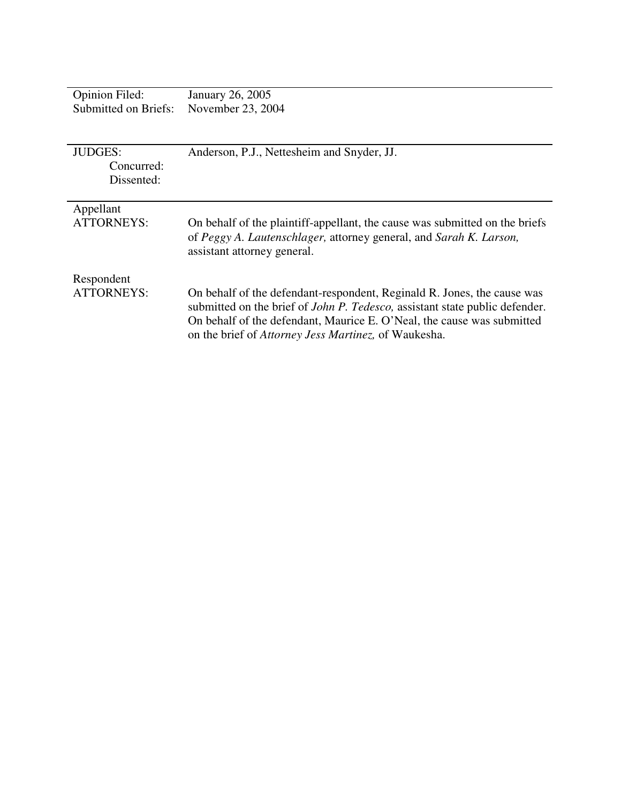| <b>Opinion Filed:</b>                      | January 26, 2005                                                                                                                                                                                                                                                                                         |
|--------------------------------------------|----------------------------------------------------------------------------------------------------------------------------------------------------------------------------------------------------------------------------------------------------------------------------------------------------------|
| Submitted on Briefs:                       | November 23, 2004                                                                                                                                                                                                                                                                                        |
| <b>JUDGES:</b><br>Concurred:<br>Dissented: | Anderson, P.J., Nettesheim and Snyder, JJ.                                                                                                                                                                                                                                                               |
| Appellant<br>ATTORNEYS:                    | On behalf of the plaintiff-appellant, the cause was submitted on the briefs<br>of Peggy A. Lautenschlager, attorney general, and Sarah K. Larson,<br>assistant attorney general.                                                                                                                         |
| Respondent<br>ATTORNEYS:                   | On behalf of the defendant-respondent, Reginald R. Jones, the cause was<br>submitted on the brief of <i>John P. Tedesco</i> , assistant state public defender.<br>On behalf of the defendant, Maurice E. O'Neal, the cause was submitted<br>on the brief of <i>Attorney Jess Martinez</i> , of Waukesha. |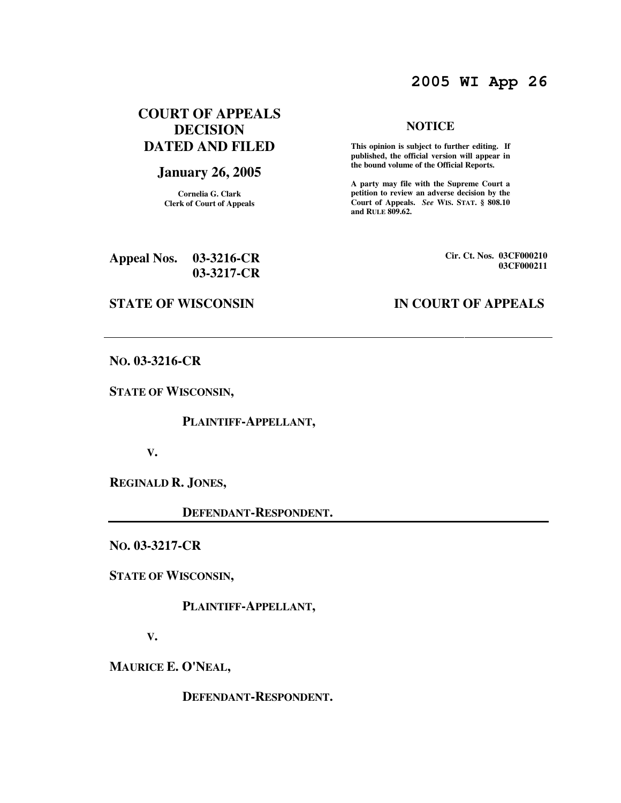# **2005 WI App 26**

## **COURT OF APPEALS DECISION DATED AND FILED**

## **January 26, 2005**

**Cornelia G. Clark Clerk of Court of Appeals**

#### **NOTICE**

 **This opinion is subject to further editing. If published, the official version will appear in the bound volume of the Official Reports.** 

**A party may file with the Supreme Court a petition to review an adverse decision by the Court of Appeals.** *See* **WIS. STAT. § 808.10 and RULE 809.62.** 

| <b>Appeal Nos.</b> | $03-3216$ -CR |
|--------------------|---------------|
|                    | $03-3217$ -CR |

**Cir. Ct. Nos. 03CF000210 03CF000211**

## **STATE OF WISCONSIN IN COURT OF APPEALS**

**NO. 03-3216-CR** 

**STATE OF WISCONSIN,** 

 **PLAINTIFF-APPELLANT,** 

 **V.** 

**REGINALD R. JONES,** 

 **DEFENDANT-RESPONDENT.** 

**NO. 03-3217-CR** 

**STATE OF WISCONSIN,** 

 **PLAINTIFF-APPELLANT,** 

 **V.** 

**MAURICE E. O'NEAL,** 

 **DEFENDANT-RESPONDENT.**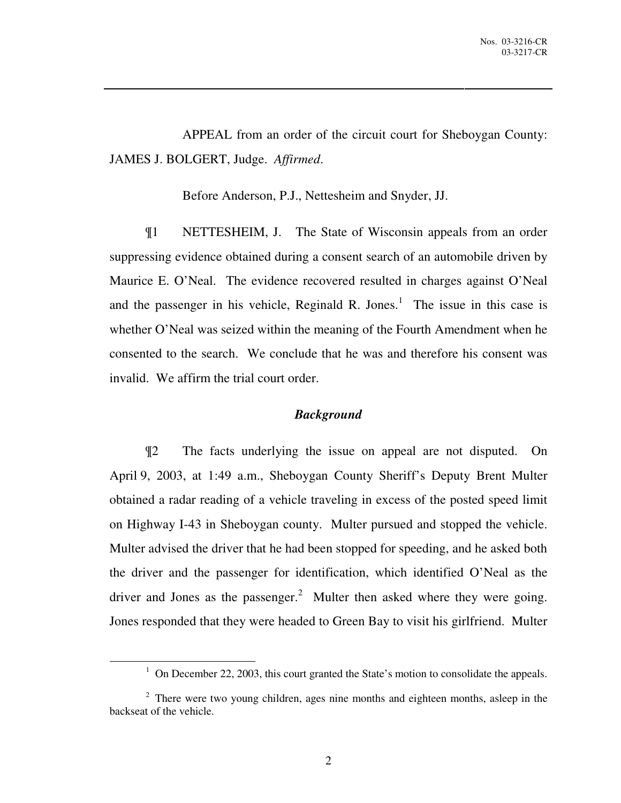APPEAL from an order of the circuit court for Sheboygan County: JAMES J. BOLGERT, Judge. *Affirmed*.

Before Anderson, P.J., Nettesheim and Snyder, JJ.

¶1 NETTESHEIM, J. The State of Wisconsin appeals from an order suppressing evidence obtained during a consent search of an automobile driven by Maurice E. O'Neal. The evidence recovered resulted in charges against O'Neal and the passenger in his vehicle, Reginald R. Jones. $<sup>1</sup>$  The issue in this case is</sup> whether O'Neal was seized within the meaning of the Fourth Amendment when he consented to the search. We conclude that he was and therefore his consent was invalid. We affirm the trial court order.

#### *Background*

¶2 The facts underlying the issue on appeal are not disputed. On April 9, 2003, at 1:49 a.m., Sheboygan County Sheriff's Deputy Brent Multer obtained a radar reading of a vehicle traveling in excess of the posted speed limit on Highway I-43 in Sheboygan county. Multer pursued and stopped the vehicle. Multer advised the driver that he had been stopped for speeding, and he asked both the driver and the passenger for identification, which identified O'Neal as the driver and Jones as the passenger.<sup>2</sup> Multer then asked where they were going. Jones responded that they were headed to Green Bay to visit his girlfriend. Multer

 $\overline{a}$ 

<sup>&</sup>lt;sup>1</sup> On December 22, 2003, this court granted the State's motion to consolidate the appeals.

<sup>&</sup>lt;sup>2</sup> There were two young children, ages nine months and eighteen months, asleep in the backseat of the vehicle.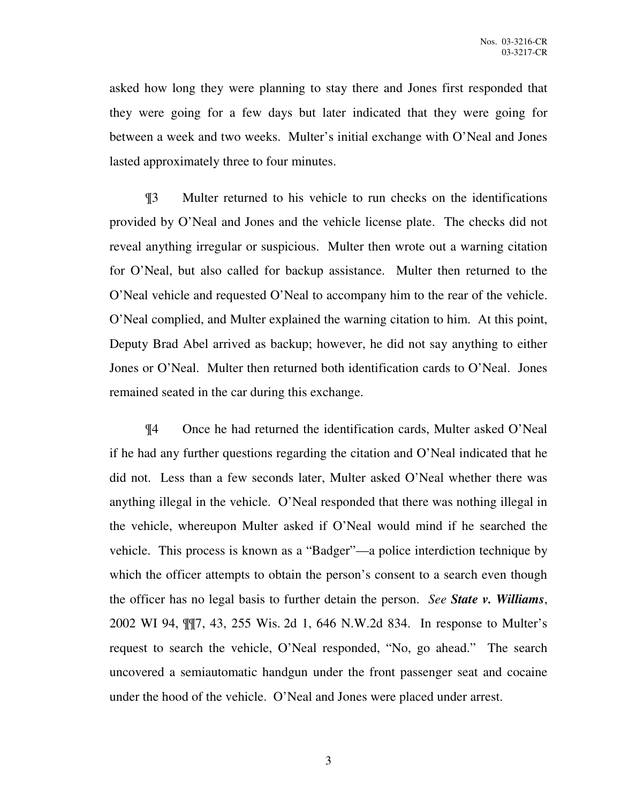asked how long they were planning to stay there and Jones first responded that they were going for a few days but later indicated that they were going for between a week and two weeks. Multer's initial exchange with O'Neal and Jones lasted approximately three to four minutes.

¶3 Multer returned to his vehicle to run checks on the identifications provided by O'Neal and Jones and the vehicle license plate. The checks did not reveal anything irregular or suspicious. Multer then wrote out a warning citation for O'Neal, but also called for backup assistance. Multer then returned to the O'Neal vehicle and requested O'Neal to accompany him to the rear of the vehicle. O'Neal complied, and Multer explained the warning citation to him. At this point, Deputy Brad Abel arrived as backup; however, he did not say anything to either Jones or O'Neal. Multer then returned both identification cards to O'Neal. Jones remained seated in the car during this exchange.

¶4 Once he had returned the identification cards, Multer asked O'Neal if he had any further questions regarding the citation and O'Neal indicated that he did not. Less than a few seconds later, Multer asked O'Neal whether there was anything illegal in the vehicle. O'Neal responded that there was nothing illegal in the vehicle, whereupon Multer asked if O'Neal would mind if he searched the vehicle. This process is known as a "Badger"—a police interdiction technique by which the officer attempts to obtain the person's consent to a search even though the officer has no legal basis to further detain the person. *See State v. Williams*, 2002 WI 94, ¶¶7, 43, 255 Wis. 2d 1, 646 N.W.2d 834. In response to Multer's request to search the vehicle, O'Neal responded, "No, go ahead." The search uncovered a semiautomatic handgun under the front passenger seat and cocaine under the hood of the vehicle. O'Neal and Jones were placed under arrest.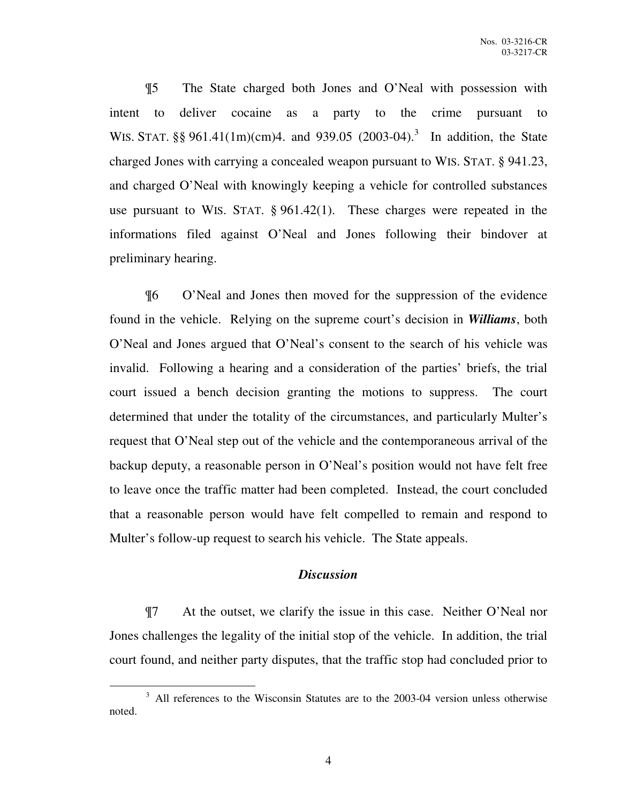¶5 The State charged both Jones and O'Neal with possession with intent to deliver cocaine as a party to the crime pursuant to WIS. STAT. §§ 961.41(1m)(cm)4. and 939.05 (2003-04).<sup>3</sup> In addition, the State charged Jones with carrying a concealed weapon pursuant to WIS. STAT. § 941.23, and charged O'Neal with knowingly keeping a vehicle for controlled substances use pursuant to WIS. STAT. § 961.42(1). These charges were repeated in the informations filed against O'Neal and Jones following their bindover at preliminary hearing.

¶6 O'Neal and Jones then moved for the suppression of the evidence found in the vehicle. Relying on the supreme court's decision in *Williams*, both O'Neal and Jones argued that O'Neal's consent to the search of his vehicle was invalid. Following a hearing and a consideration of the parties' briefs, the trial court issued a bench decision granting the motions to suppress. The court determined that under the totality of the circumstances, and particularly Multer's request that O'Neal step out of the vehicle and the contemporaneous arrival of the backup deputy, a reasonable person in O'Neal's position would not have felt free to leave once the traffic matter had been completed. Instead, the court concluded that a reasonable person would have felt compelled to remain and respond to Multer's follow-up request to search his vehicle. The State appeals.

#### *Discussion*

¶7 At the outset, we clarify the issue in this case. Neither O'Neal nor Jones challenges the legality of the initial stop of the vehicle. In addition, the trial court found, and neither party disputes, that the traffic stop had concluded prior to

 $\overline{a}$ 

<sup>&</sup>lt;sup>3</sup> All references to the Wisconsin Statutes are to the 2003-04 version unless otherwise noted.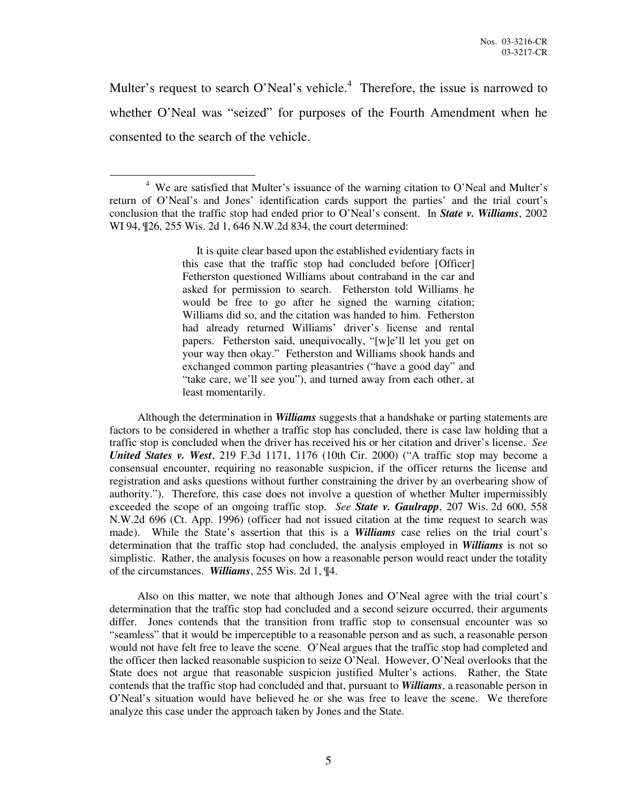Multer's request to search O'Neal's vehicle.<sup>4</sup> Therefore, the issue is narrowed to whether O'Neal was "seized" for purposes of the Fourth Amendment when he consented to the search of the vehicle.

 $\overline{a}$ 

 It is quite clear based upon the established evidentiary facts in this case that the traffic stop had concluded before [Officer] Fetherston questioned Williams about contraband in the car and asked for permission to search. Fetherston told Williams he would be free to go after he signed the warning citation; Williams did so, and the citation was handed to him. Fetherston had already returned Williams' driver's license and rental papers. Fetherston said, unequivocally, "[w]e'll let you get on your way then okay." Fetherston and Williams shook hands and exchanged common parting pleasantries ("have a good day" and "take care, we'll see you"), and turned away from each other, at least momentarily.

 Although the determination in *Williams* suggests that a handshake or parting statements are factors to be considered in whether a traffic stop has concluded, there is case law holding that a traffic stop is concluded when the driver has received his or her citation and driver's license. *See United States v. West*, 219 F.3d 1171, 1176 (10th Cir. 2000) ("A traffic stop may become a consensual encounter, requiring no reasonable suspicion, if the officer returns the license and registration and asks questions without further constraining the driver by an overbearing show of authority."). Therefore, this case does not involve a question of whether Multer impermissibly exceeded the scope of an ongoing traffic stop. *See State v. Gaulrapp*, 207 Wis. 2d 600, 558 N.W.2d 696 (Ct. App. 1996) (officer had not issued citation at the time request to search was made). While the State's assertion that this is a *Williams* case relies on the trial court's determination that the traffic stop had concluded, the analysis employed in *Williams* is not so simplistic. Rather, the analysis focuses on how a reasonable person would react under the totality of the circumstances. *Williams*, 255 Wis. 2d 1, ¶4.

 Also on this matter, we note that although Jones and O'Neal agree with the trial court's determination that the traffic stop had concluded and a second seizure occurred, their arguments differ. Jones contends that the transition from traffic stop to consensual encounter was so "seamless" that it would be imperceptible to a reasonable person and as such, a reasonable person would not have felt free to leave the scene. O'Neal argues that the traffic stop had completed and the officer then lacked reasonable suspicion to seize O'Neal. However, O'Neal overlooks that the State does not argue that reasonable suspicion justified Multer's actions. Rather, the State contends that the traffic stop had concluded and that, pursuant to *Williams*, a reasonable person in O'Neal's situation would have believed he or she was free to leave the scene. We therefore analyze this case under the approach taken by Jones and the State.

<sup>&</sup>lt;sup>4</sup> We are satisfied that Multer's issuance of the warning citation to O'Neal and Multer's return of O'Neal's and Jones' identification cards support the parties' and the trial court's conclusion that the traffic stop had ended prior to O'Neal's consent. In *State v. Williams*, 2002 WI 94, ¶26, 255 Wis. 2d 1, 646 N.W.2d 834, the court determined: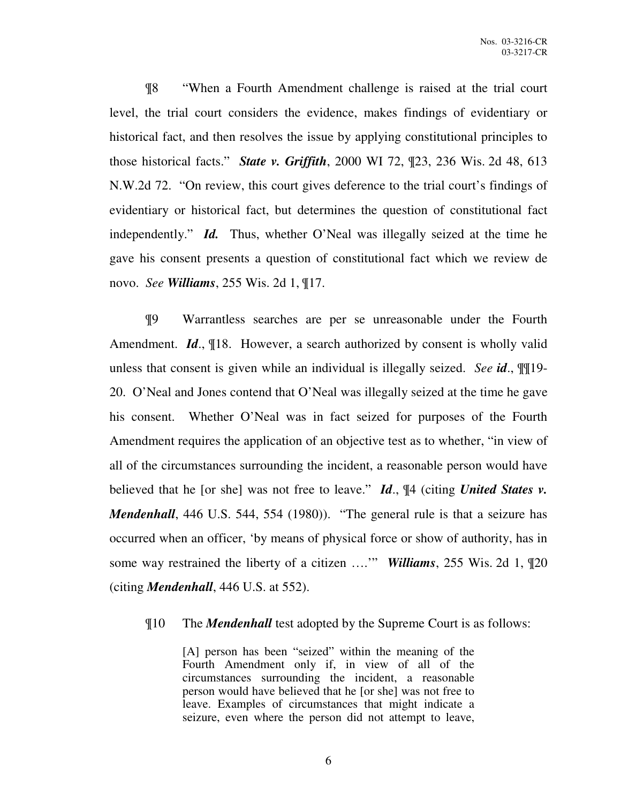¶8 "When a Fourth Amendment challenge is raised at the trial court level, the trial court considers the evidence, makes findings of evidentiary or historical fact, and then resolves the issue by applying constitutional principles to those historical facts." *State v. Griffith*, 2000 WI 72, ¶23, 236 Wis. 2d 48, 613 N.W.2d 72. "On review, this court gives deference to the trial court's findings of evidentiary or historical fact, but determines the question of constitutional fact independently." *Id.* Thus, whether O'Neal was illegally seized at the time he gave his consent presents a question of constitutional fact which we review de novo. *See Williams*, 255 Wis. 2d 1, ¶17.

¶9 Warrantless searches are per se unreasonable under the Fourth Amendment. *Id*., ¶18. However, a search authorized by consent is wholly valid unless that consent is given while an individual is illegally seized. *See id*., ¶¶19- 20. O'Neal and Jones contend that O'Neal was illegally seized at the time he gave his consent. Whether O'Neal was in fact seized for purposes of the Fourth Amendment requires the application of an objective test as to whether, "in view of all of the circumstances surrounding the incident, a reasonable person would have believed that he [or she] was not free to leave." *Id*., ¶4 (citing *United States v. Mendenhall*, 446 U.S. 544, 554 (1980)). "The general rule is that a seizure has occurred when an officer, 'by means of physical force or show of authority, has in some way restrained the liberty of a citizen ….'" *Williams*, 255 Wis. 2d 1, ¶20 (citing *Mendenhall*, 446 U.S. at 552).

### ¶10 The *Mendenhall* test adopted by the Supreme Court is as follows:

[A] person has been "seized" within the meaning of the Fourth Amendment only if, in view of all of the circumstances surrounding the incident, a reasonable person would have believed that he [or she] was not free to leave. Examples of circumstances that might indicate a seizure, even where the person did not attempt to leave,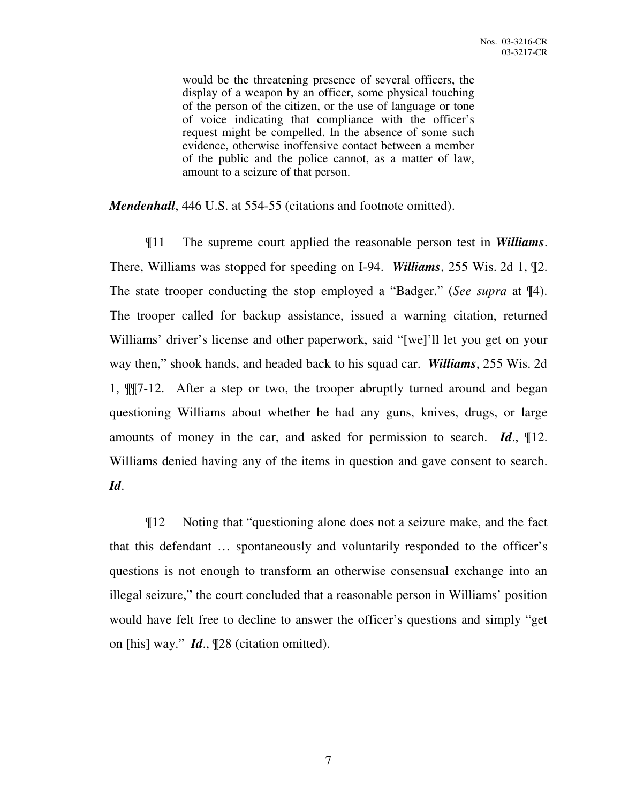would be the threatening presence of several officers, the display of a weapon by an officer, some physical touching of the person of the citizen, or the use of language or tone of voice indicating that compliance with the officer's request might be compelled. In the absence of some such evidence, otherwise inoffensive contact between a member of the public and the police cannot, as a matter of law, amount to a seizure of that person.

*Mendenhall*, 446 U.S. at 554-55 (citations and footnote omitted).

¶11 The supreme court applied the reasonable person test in *Williams*. There, Williams was stopped for speeding on I-94. *Williams*, 255 Wis. 2d 1, ¶2. The state trooper conducting the stop employed a "Badger." (*See supra* at ¶4). The trooper called for backup assistance, issued a warning citation, returned Williams' driver's license and other paperwork, said "[we]'ll let you get on your way then," shook hands, and headed back to his squad car. *Williams*, 255 Wis. 2d 1, ¶¶7-12. After a step or two, the trooper abruptly turned around and began questioning Williams about whether he had any guns, knives, drugs, or large amounts of money in the car, and asked for permission to search. *Id*., ¶12. Williams denied having any of the items in question and gave consent to search. *Id*.

¶12 Noting that "questioning alone does not a seizure make, and the fact that this defendant … spontaneously and voluntarily responded to the officer's questions is not enough to transform an otherwise consensual exchange into an illegal seizure," the court concluded that a reasonable person in Williams' position would have felt free to decline to answer the officer's questions and simply "get on [his] way." *Id*., ¶28 (citation omitted).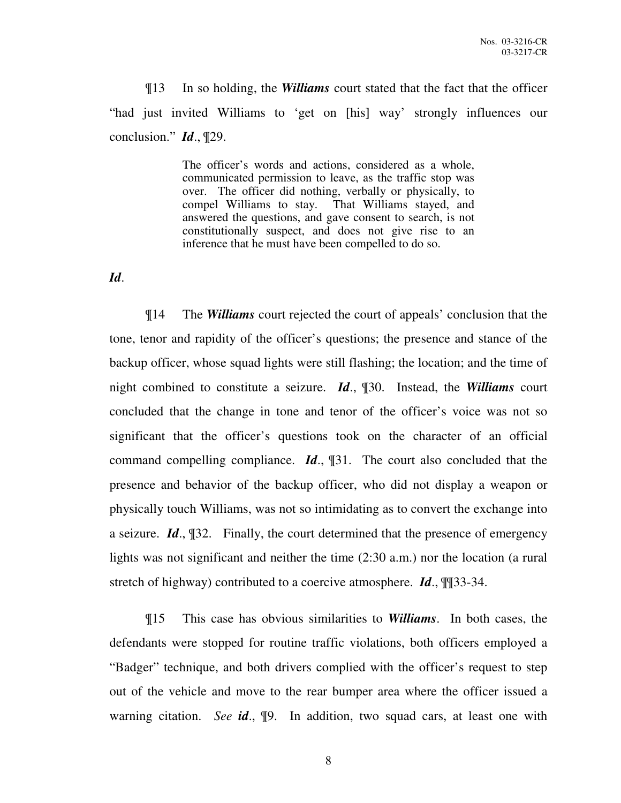¶13 In so holding, the *Williams* court stated that the fact that the officer "had just invited Williams to 'get on [his] way' strongly influences our conclusion." *Id*., ¶29.

> The officer's words and actions, considered as a whole, communicated permission to leave, as the traffic stop was over. The officer did nothing, verbally or physically, to compel Williams to stay. That Williams stayed, and answered the questions, and gave consent to search, is not constitutionally suspect, and does not give rise to an inference that he must have been compelled to do so.

*Id*.

¶14 The *Williams* court rejected the court of appeals' conclusion that the tone, tenor and rapidity of the officer's questions; the presence and stance of the backup officer, whose squad lights were still flashing; the location; and the time of night combined to constitute a seizure. *Id*., ¶30. Instead, the *Williams* court concluded that the change in tone and tenor of the officer's voice was not so significant that the officer's questions took on the character of an official command compelling compliance. *Id*., ¶31. The court also concluded that the presence and behavior of the backup officer, who did not display a weapon or physically touch Williams, was not so intimidating as to convert the exchange into a seizure. *Id*., ¶32. Finally, the court determined that the presence of emergency lights was not significant and neither the time (2:30 a.m.) nor the location (a rural stretch of highway) contributed to a coercive atmosphere. *Id*., ¶¶33-34.

¶15 This case has obvious similarities to *Williams*. In both cases, the defendants were stopped for routine traffic violations, both officers employed a "Badger" technique, and both drivers complied with the officer's request to step out of the vehicle and move to the rear bumper area where the officer issued a warning citation. *See id*., ¶9. In addition, two squad cars, at least one with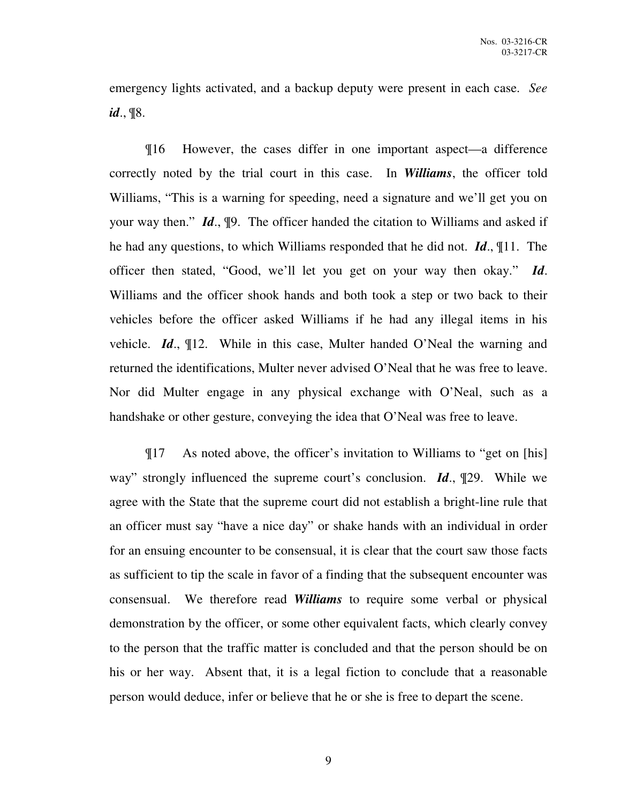emergency lights activated, and a backup deputy were present in each case. *See id*., ¶8.

¶16 However, the cases differ in one important aspect—a difference correctly noted by the trial court in this case. In *Williams*, the officer told Williams, "This is a warning for speeding, need a signature and we'll get you on your way then." *Id*., ¶9. The officer handed the citation to Williams and asked if he had any questions, to which Williams responded that he did not. *Id*., ¶11. The officer then stated, "Good, we'll let you get on your way then okay." *Id*. Williams and the officer shook hands and both took a step or two back to their vehicles before the officer asked Williams if he had any illegal items in his vehicle. *Id*., ¶12. While in this case, Multer handed O'Neal the warning and returned the identifications, Multer never advised O'Neal that he was free to leave. Nor did Multer engage in any physical exchange with O'Neal, such as a handshake or other gesture, conveying the idea that O'Neal was free to leave.

¶17 As noted above, the officer's invitation to Williams to "get on [his] way" strongly influenced the supreme court's conclusion. *Id*., ¶29. While we agree with the State that the supreme court did not establish a bright-line rule that an officer must say "have a nice day" or shake hands with an individual in order for an ensuing encounter to be consensual, it is clear that the court saw those facts as sufficient to tip the scale in favor of a finding that the subsequent encounter was consensual. We therefore read *Williams* to require some verbal or physical demonstration by the officer, or some other equivalent facts, which clearly convey to the person that the traffic matter is concluded and that the person should be on his or her way. Absent that, it is a legal fiction to conclude that a reasonable person would deduce, infer or believe that he or she is free to depart the scene.

9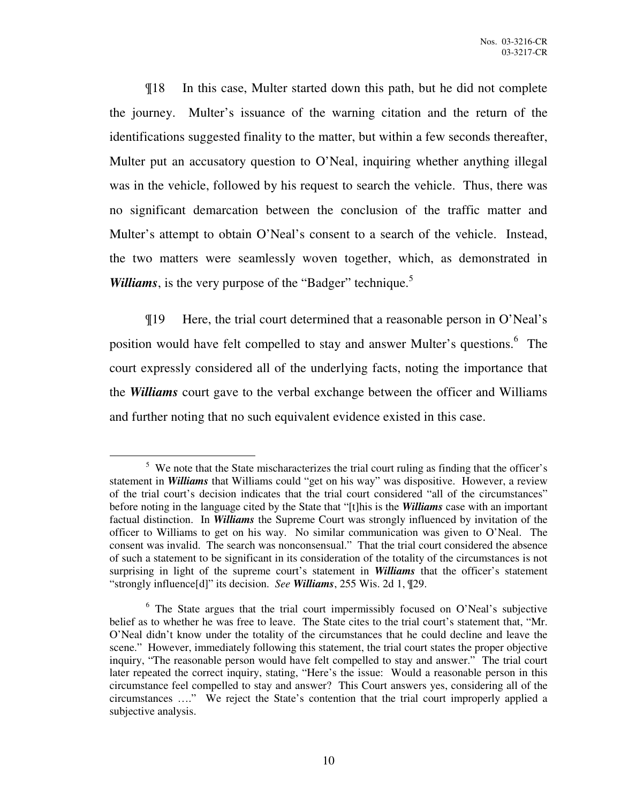¶18 In this case, Multer started down this path, but he did not complete the journey. Multer's issuance of the warning citation and the return of the identifications suggested finality to the matter, but within a few seconds thereafter, Multer put an accusatory question to O'Neal, inquiring whether anything illegal was in the vehicle, followed by his request to search the vehicle. Thus, there was no significant demarcation between the conclusion of the traffic matter and Multer's attempt to obtain O'Neal's consent to a search of the vehicle. Instead, the two matters were seamlessly woven together, which, as demonstrated in *Williams*, is the very purpose of the "Badger" technique.<sup>5</sup>

¶19 Here, the trial court determined that a reasonable person in O'Neal's position would have felt compelled to stay and answer Multer's questions.<sup>6</sup> The court expressly considered all of the underlying facts, noting the importance that the *Williams* court gave to the verbal exchange between the officer and Williams and further noting that no such equivalent evidence existed in this case.

 $\overline{a}$ 

 $5$  We note that the State mischaracterizes the trial court ruling as finding that the officer's statement in *Williams* that Williams could "get on his way" was dispositive. However, a review of the trial court's decision indicates that the trial court considered "all of the circumstances" before noting in the language cited by the State that "[t]his is the *Williams* case with an important factual distinction. In *Williams* the Supreme Court was strongly influenced by invitation of the officer to Williams to get on his way. No similar communication was given to O'Neal. The consent was invalid. The search was nonconsensual." That the trial court considered the absence of such a statement to be significant in its consideration of the totality of the circumstances is not surprising in light of the supreme court's statement in *Williams* that the officer's statement "strongly influence[d]" its decision. *See Williams*, 255 Wis. 2d 1, ¶29.

<sup>&</sup>lt;sup>6</sup> The State argues that the trial court impermissibly focused on O'Neal's subjective belief as to whether he was free to leave. The State cites to the trial court's statement that, "Mr. O'Neal didn't know under the totality of the circumstances that he could decline and leave the scene." However, immediately following this statement, the trial court states the proper objective inquiry, "The reasonable person would have felt compelled to stay and answer." The trial court later repeated the correct inquiry, stating, "Here's the issue: Would a reasonable person in this circumstance feel compelled to stay and answer? This Court answers yes, considering all of the circumstances …." We reject the State's contention that the trial court improperly applied a subjective analysis.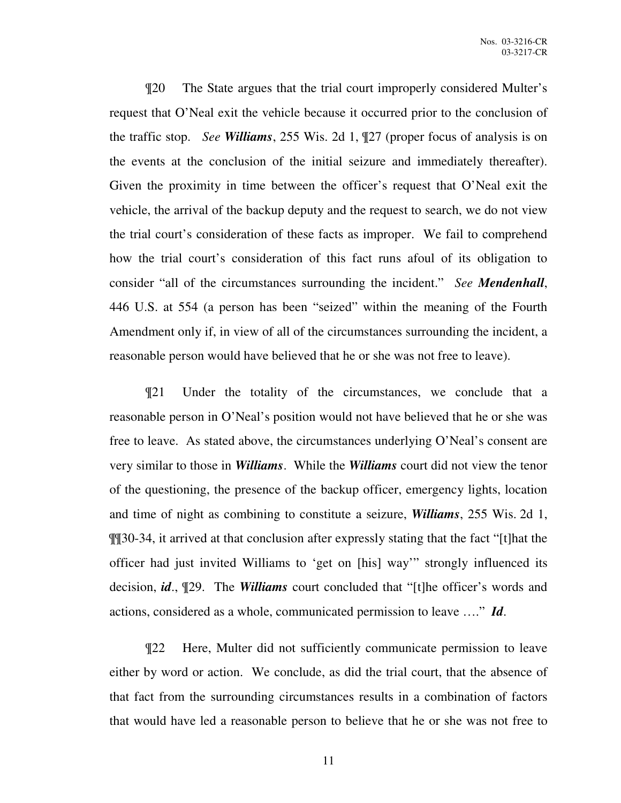¶20 The State argues that the trial court improperly considered Multer's request that O'Neal exit the vehicle because it occurred prior to the conclusion of the traffic stop. *See Williams*, 255 Wis. 2d 1, ¶27 (proper focus of analysis is on the events at the conclusion of the initial seizure and immediately thereafter). Given the proximity in time between the officer's request that O'Neal exit the vehicle, the arrival of the backup deputy and the request to search, we do not view the trial court's consideration of these facts as improper. We fail to comprehend how the trial court's consideration of this fact runs afoul of its obligation to consider "all of the circumstances surrounding the incident." *See Mendenhall*, 446 U.S. at 554 (a person has been "seized" within the meaning of the Fourth Amendment only if, in view of all of the circumstances surrounding the incident, a reasonable person would have believed that he or she was not free to leave).

¶21 Under the totality of the circumstances, we conclude that a reasonable person in O'Neal's position would not have believed that he or she was free to leave. As stated above, the circumstances underlying O'Neal's consent are very similar to those in *Williams*. While the *Williams* court did not view the tenor of the questioning, the presence of the backup officer, emergency lights, location and time of night as combining to constitute a seizure, *Williams*, 255 Wis. 2d 1, ¶¶30-34, it arrived at that conclusion after expressly stating that the fact "[t]hat the officer had just invited Williams to 'get on [his] way'" strongly influenced its decision, *id*., ¶29. The *Williams* court concluded that "[t]he officer's words and actions, considered as a whole, communicated permission to leave …." *Id*.

¶22 Here, Multer did not sufficiently communicate permission to leave either by word or action. We conclude, as did the trial court, that the absence of that fact from the surrounding circumstances results in a combination of factors that would have led a reasonable person to believe that he or she was not free to

11